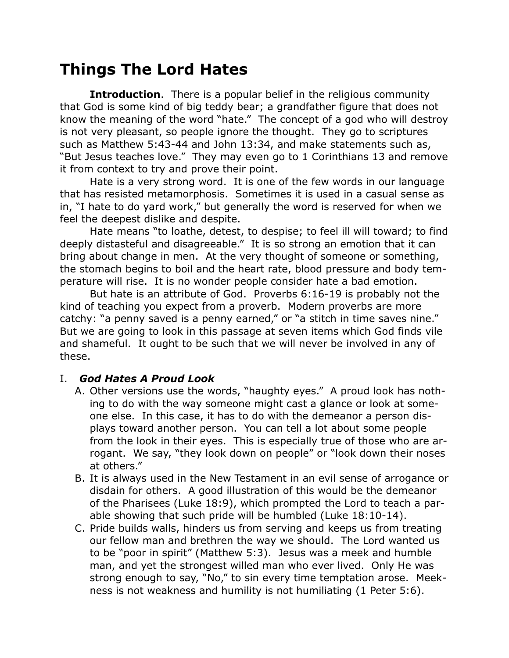# **Things The Lord Hates**

**Introduction**. There is a popular belief in the religious community that God is some kind of big teddy bear; a grandfather figure that does not know the meaning of the word "hate." The concept of a god who will destroy is not very pleasant, so people ignore the thought. They go to scriptures such as Matthew 5:43-44 and John 13:34, and make statements such as, "But Jesus teaches love." They may even go to 1 Corinthians 13 and remove it from context to try and prove their point.

Hate is a very strong word. It is one of the few words in our language that has resisted metamorphosis. Sometimes it is used in a casual sense as in, "I hate to do yard work," but generally the word is reserved for when we feel the deepest dislike and despite.

Hate means "to loathe, detest, to despise; to feel ill will toward; to find deeply distasteful and disagreeable." It is so strong an emotion that it can bring about change in men. At the very thought of someone or something, the stomach begins to boil and the heart rate, blood pressure and body temperature will rise. It is no wonder people consider hate a bad emotion.

But hate is an attribute of God. Proverbs 6:16-19 is probably not the kind of teaching you expect from a proverb. Modern proverbs are more catchy: "a penny saved is a penny earned," or "a stitch in time saves nine." But we are going to look in this passage at seven items which God finds vile and shameful. It ought to be such that we will never be involved in any of these.

#### I. *God Hates A Proud Look*

- A. Other versions use the words, "haughty eyes." A proud look has nothing to do with the way someone might cast a glance or look at someone else. In this case, it has to do with the demeanor a person displays toward another person. You can tell a lot about some people from the look in their eyes. This is especially true of those who are arrogant. We say, "they look down on people" or "look down their noses at others."
- B. It is always used in the New Testament in an evil sense of arrogance or disdain for others. A good illustration of this would be the demeanor of the Pharisees (Luke 18:9), which prompted the Lord to teach a parable showing that such pride will be humbled (Luke 18:10-14).
- C. Pride builds walls, hinders us from serving and keeps us from treating our fellow man and brethren the way we should. The Lord wanted us to be "poor in spirit" (Matthew 5:3). Jesus was a meek and humble man, and yet the strongest willed man who ever lived. Only He was strong enough to say, "No," to sin every time temptation arose. Meekness is not weakness and humility is not humiliating (1 Peter 5:6).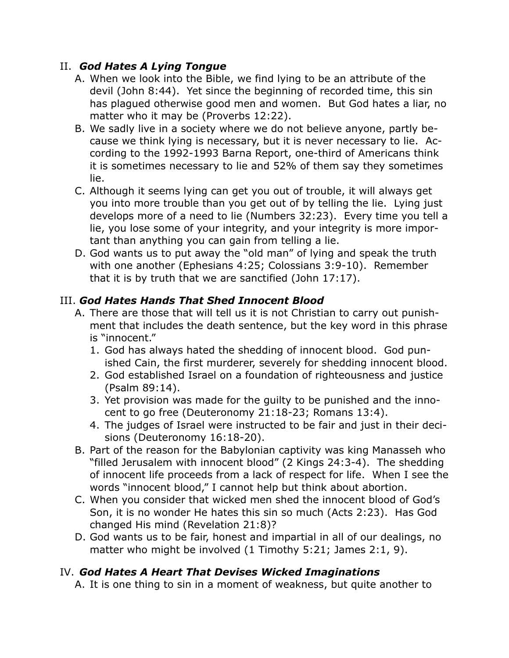#### II. *God Hates A Lying Tongue*

- A. When we look into the Bible, we find lying to be an attribute of the devil (John 8:44). Yet since the beginning of recorded time, this sin has plagued otherwise good men and women. But God hates a liar, no matter who it may be (Proverbs 12:22).
- B. We sadly live in a society where we do not believe anyone, partly because we think lying is necessary, but it is never necessary to lie. According to the 1992-1993 Barna Report, one-third of Americans think it is sometimes necessary to lie and 52% of them say they sometimes lie.
- C. Although it seems lying can get you out of trouble, it will always get you into more trouble than you get out of by telling the lie. Lying just develops more of a need to lie (Numbers 32:23). Every time you tell a lie, you lose some of your integrity, and your integrity is more important than anything you can gain from telling a lie.
- D. God wants us to put away the "old man" of lying and speak the truth with one another (Ephesians 4:25; Colossians 3:9-10). Remember that it is by truth that we are sanctified (John 17:17).

## III. *God Hates Hands That Shed Innocent Blood*

- A. There are those that will tell us it is not Christian to carry out punishment that includes the death sentence, but the key word in this phrase is "innocent."
	- 1. God has always hated the shedding of innocent blood. God punished Cain, the first murderer, severely for shedding innocent blood.
	- 2. God established Israel on a foundation of righteousness and justice (Psalm 89:14).
	- 3. Yet provision was made for the guilty to be punished and the innocent to go free (Deuteronomy 21:18-23; Romans 13:4).
	- 4. The judges of Israel were instructed to be fair and just in their decisions (Deuteronomy 16:18-20).
- B. Part of the reason for the Babylonian captivity was king Manasseh who "filled Jerusalem with innocent blood" (2 Kings 24:3-4). The shedding of innocent life proceeds from a lack of respect for life. When I see the words "innocent blood," I cannot help but think about abortion.
- C. When you consider that wicked men shed the innocent blood of God's Son, it is no wonder He hates this sin so much (Acts 2:23). Has God changed His mind (Revelation 21:8)?
- D. God wants us to be fair, honest and impartial in all of our dealings, no matter who might be involved (1 Timothy 5:21; James 2:1, 9).

## IV. *God Hates A Heart That Devises Wicked Imaginations*

A. It is one thing to sin in a moment of weakness, but quite another to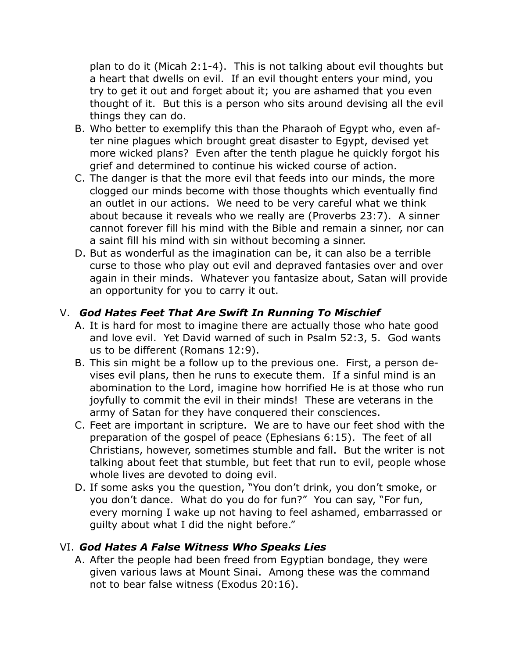plan to do it (Micah 2:1-4). This is not talking about evil thoughts but a heart that dwells on evil. If an evil thought enters your mind, you try to get it out and forget about it; you are ashamed that you even thought of it. But this is a person who sits around devising all the evil things they can do.

- B. Who better to exemplify this than the Pharaoh of Egypt who, even after nine plagues which brought great disaster to Egypt, devised yet more wicked plans? Even after the tenth plague he quickly forgot his grief and determined to continue his wicked course of action.
- C. The danger is that the more evil that feeds into our minds, the more clogged our minds become with those thoughts which eventually find an outlet in our actions. We need to be very careful what we think about because it reveals who we really are (Proverbs 23:7). A sinner cannot forever fill his mind with the Bible and remain a sinner, nor can a saint fill his mind with sin without becoming a sinner.
- D. But as wonderful as the imagination can be, it can also be a terrible curse to those who play out evil and depraved fantasies over and over again in their minds. Whatever you fantasize about, Satan will provide an opportunity for you to carry it out.

## V. *God Hates Feet That Are Swift In Running To Mischief*

- A. It is hard for most to imagine there are actually those who hate good and love evil. Yet David warned of such in Psalm 52:3, 5. God wants us to be different (Romans 12:9).
- B. This sin might be a follow up to the previous one. First, a person devises evil plans, then he runs to execute them. If a sinful mind is an abomination to the Lord, imagine how horrified He is at those who run joyfully to commit the evil in their minds! These are veterans in the army of Satan for they have conquered their consciences.
- C. Feet are important in scripture. We are to have our feet shod with the preparation of the gospel of peace (Ephesians 6:15). The feet of all Christians, however, sometimes stumble and fall. But the writer is not talking about feet that stumble, but feet that run to evil, people whose whole lives are devoted to doing evil.
- D. If some asks you the question, "You don't drink, you don't smoke, or you don't dance. What do you do for fun?" You can say, "For fun, every morning I wake up not having to feel ashamed, embarrassed or guilty about what I did the night before."

## VI. *God Hates A False Witness Who Speaks Lies*

A. After the people had been freed from Egyptian bondage, they were given various laws at Mount Sinai. Among these was the command not to bear false witness (Exodus 20:16).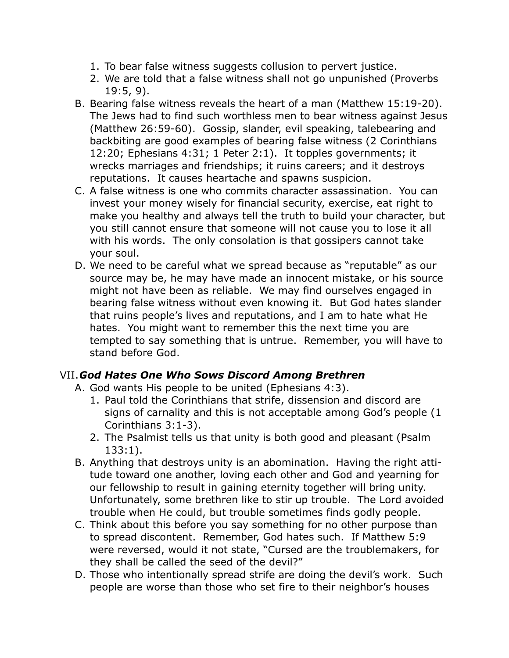- 1. To bear false witness suggests collusion to pervert justice.
- 2. We are told that a false witness shall not go unpunished (Proverbs 19:5, 9).
- B. Bearing false witness reveals the heart of a man (Matthew 15:19-20). The Jews had to find such worthless men to bear witness against Jesus (Matthew 26:59-60). Gossip, slander, evil speaking, talebearing and backbiting are good examples of bearing false witness (2 Corinthians 12:20; Ephesians 4:31; 1 Peter 2:1). It topples governments; it wrecks marriages and friendships; it ruins careers; and it destroys reputations. It causes heartache and spawns suspicion.
- C. A false witness is one who commits character assassination. You can invest your money wisely for financial security, exercise, eat right to make you healthy and always tell the truth to build your character, but you still cannot ensure that someone will not cause you to lose it all with his words. The only consolation is that gossipers cannot take your soul.
- D. We need to be careful what we spread because as "reputable" as our source may be, he may have made an innocent mistake, or his source might not have been as reliable. We may find ourselves engaged in bearing false witness without even knowing it. But God hates slander that ruins people's lives and reputations, and I am to hate what He hates. You might want to remember this the next time you are tempted to say something that is untrue. Remember, you will have to stand before God.

#### VII.*God Hates One Who Sows Discord Among Brethren*

- A. God wants His people to be united (Ephesians 4:3).
	- 1. Paul told the Corinthians that strife, dissension and discord are signs of carnality and this is not acceptable among God's people (1 Corinthians 3:1-3).
	- 2. The Psalmist tells us that unity is both good and pleasant (Psalm 133:1).
- B. Anything that destroys unity is an abomination. Having the right attitude toward one another, loving each other and God and yearning for our fellowship to result in gaining eternity together will bring unity. Unfortunately, some brethren like to stir up trouble. The Lord avoided trouble when He could, but trouble sometimes finds godly people.
- C. Think about this before you say something for no other purpose than to spread discontent. Remember, God hates such. If Matthew 5:9 were reversed, would it not state, "Cursed are the troublemakers, for they shall be called the seed of the devil?"
- D. Those who intentionally spread strife are doing the devil's work. Such people are worse than those who set fire to their neighbor's houses